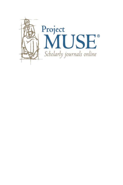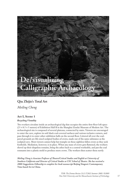# **De/visualizing Calligraphic Archaeology**

## **Qiu Zhijie's Total Art**

*Meiling Cheng*

## **Act I, Scene 1**

## *Recycling Visuality*

Two workers circulate inside an archaeological dig that occupies the entire first-floor loft space  $(23 \times 8.5 \times 5$  meters) of Exhibition Hall B in the Shanghai Zendai Museum of Modern Art. The archaeological site is composed of several plateaus, connected by stairs. Viewers are encouraged to enter the cave, explore its soft black coal-covered surfaces and various reclusive corners, and pass through it to enter other exhibition halls on the second floor. Littered all over the coalpaved grounds are life-sized sculpted bodies of crows, made out of the same substance as the sculpted cave. Most viewers cannot help but trample on these sightless fallen crows as they seek footholds. Mediation, however, is in place. When any mass of crows gets flattened, the workers shovel up their shapeless remains, bring the ashes back to a central worktable, and put the coal remnants into a plastic mold to produce more crows. The workers then scatter these newly

*Meiling Cheng is Associate Professor of Theatre/Critical Studies and English at University of Southern California and Director of Critical Studies at USC School of Theatre. She has received a 2008 Guggenheim Fellowship to complete her book manuscript* **Beijing Xingwei: Contemporary Time-based Art in China***.*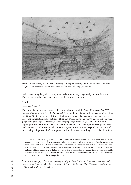

*Figure 2. Qiu's drawing for The Red Cliff Poetry.* Zhuang Zi de zhengjing ji/The Ataraxic of Zhuang Zi *by Qiu Zhijie, Shanghai Zendai Museum of Modern Art. (Photo by Qiu Zhijie)*

made crows along the path, allowing them to be smashed—yet again—by random footprints. This cycle of molding, smashing, and remolding crows is continuous.<sup>1</sup>

## **Act II**

## *Sampling Total Art*

The above live performance appeared in the exhibition entitled *Zhuang Zi de zhengjing ji/The Ataraxic of Zhuang Zi* (8 July–24 August 2008) by the Beijing-based multimedia artist, Qiu Zhijie (see Qiu 2008a). This solo exhibition is the first installment of a massive project, coordinated under the general bilingually publicized title *Qiu Zhijie Nanjing Changjiang daqiao zisha xianxiang ganyu jihua*/*Qiu Zhijie: A Suicidology of the Nanjing Yangzi River Bridge*, which comprises an ongoing series of cultural fieldwork, historical documentation, sociological investigation, crossmedia artworks, and international exhibitions. Qiu's ambitious series responds to the status of the Nanjing Bridge as China's most popular suicide location. According to the artist, the official

<sup>1.</sup> I saw the exhibition in Shanghai on 12 July 2008, which was a Sunday. The two workers were off on that particular date, but viewers were invited to enter and explore the archaeological cave. My account of the live performance portion was based on the artist's plan and his oral descriptions. Originally, the artist wished to also include a hundred live crows in the cave, but Zendai MoMA rejected the idea. I have translated all my citations from the artist and other Chinese sources here, including the various titles in this total art project. At times, my translations differ from the ones publicized by the artist on his personal website. Following the local convention, Chinese names are listed surname first, unless the person prefers otherwise.

*Figure 1. (previous page) Inside the archaeological dig in Crystalloid: a taxidermed crow next to a coal crow.* Zhuang Zi de zhengjing ji/The Ataraxic of Zhuang Zi *by Qiu Zhijie, Shanghai Zendai Museum of Modern Art. (Photo by Qiu Zhijie)*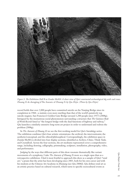

*Figure 3. The Exhibition Hall B at Zendai MoMA: A closer view of Qiu's constructed archaeological dig with coal crows.*  Zhuang Zi de zhengjing ji/The Ataraxic of Zhuang Zi *by Qiu Zhijie. (Photo by Qiu Zhijie)*

record holds that over 2,000 people have committed suicide on the Nanjing Bridge since its completion in 1968—a statistic even more startling than that of the world's putatively top suicide magnet, San Francisco's Golden Gate Bridge (around 1,200 people since 1937) (2008g). Intrigued by the momentous social phenomenon surrounding a structure that *The Guinness Book of World Records* listed as "the longest bridge with the dual functions of highway and railway," Qiu launches a similarly extensive long-term art project in order to understand and redress the problem (2008g).

In *The Ataraxic of Zhuang Zi* we see the first working model for Qiu's *Suicidology* series. The exhibition combines Qiu's four artistic orientations: the archival; the interventionist; the aesthetic/conceptual; and the ethical/philosophical. Correspondingly, the exhibition space in Zendai MoMA is divided into four display sections, identified as Archive; Clinic; Think Tank; and Crystalloid. Across the four sections, the art mediums represented cover a comprehensive range, including drawing, calligraphy, printmaking, sculpture, installation, photography, video, and performance.

Judging by the ways that different parts of this show resonate thematically like variant movements of a symphony, I take *The Ataraxic of Zhuang Zi* more as a single opus than as a retrospective exhibition. I find it most fruitful to approach this show as a sample of Qiu's "total art," a praxis that the artist has been developing since 2003, both for his own career and with his students at the Chinese Art Academy in Zhejiang (see Qiu 2008d). Qiu defines total art as an artistic practice based on cultural research, which turns to specific sociocultural events as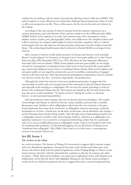catalysts for art-making, with the intent of proactively affecting viewers' daily lives (2008d). This total art aspires to create efficacious art actions that challenge biased mainstream values in order to offer new perspectives on life. Thus, as Qiu asserts, the live site for his total art is history in the making.

According to Qiu, his concept of total art emerges from his extensive experiences as a curator, practitioner, and critic/theorist of live and new media art in the 1990s and early 2000s (2008d). Indeed, in his capacity as an artist, Qiu assumes many roles: investigator, creator, thinker, activist, teacher, poet, photographer, healer, and collaborator. He compiles archives and collects castaways; he composes philosophical treatises and takes snapshots. Qiu is a cultural archaeologist who not only digs into the historical past and present, but also sculpts toward the future. The archaeological performance that he directed at Zendai MoMA is an imago for his total art.

Qiu's concept of total art recalls similar practices in Europe and America, such as Joseph Beuys's "social sculpture" in Germany, or Suzanne Lacy's "new genre public art" in the United States (see Ray 2001; Rosenthal 2005; Lacy 1995). But there are also important differences that make Qiu's total art distinct. While social sculpture and new genre public art are deeply invested in contemporary sociopolitical issues, Qiu's total art traces present ills to past pathology, consciously finding its raison d'être in remaking Chinese history. Both social sculpture and new genre public art are staged by activists who use art to mobilize communities of engaged citizens in the here and now. Qiu's spectatorial and participatory communities, however, include not only his coevals, but also—even more importantly—his predecessors.

Although Qiu relates his total art to his recent professional practice, I suggest that his concept finds an earlier and even stronger basis in his command of classical Chinese literature, and especially in his training as a calligrapher. We can trace his artistic genealogy to both art forms of the traditional Chinese literati. Their praxis was shaped by the oft-cited dictum that may also serve as Qiu's manifesto: "Yi tianxia wei jiren" (taking the world—or all under heaven—as one's personal responsibility).

Like his forebearer writer-scholars, Qiu sees no division between disciplines. The totality of knowledge is his library, in which he burrows, swims, tumbles, and soars like a veritable Renaissance man. Similar to other calligraphers, Qiu locates his own creativity in the paradoxical plenitude that comes from restriction. A calligrapher trains by mastering a relatively unchanged set of tools—a brush pen, an ink stick, an ink stone, and an absorbent role of paper and by imitating classic brush writing models. Only through years of painstaking imitation can a calligrapher mature in his/her craft. Such training, I believe, cultivates in a calligrapher two epistemic tendencies: (1) to search for a consistent methodology rather than for a particular style; (2) to access worldly phenomena as calligraphic scripts, ready to be inscribed. Qiu's total art manifests both tendencies. As Qiu himself suggests, he sees all schools of Chinese art as "mutations from calligraphy" (Qiu 2008e). Qiu's total art is, in this sense, a contemporary version of an ancient Chinese art.

## **Act III, Scene 1**

#### *The Archive in the Clinic*

As a total art project, *The Ataraxic of Zhuang Zi* is structured to support Qiu's virtuosic output and cross-disciplinary aspirations. Among its four parts, both Archive and Clinic have clear focuses: the former deals with the political significance of the Nanjing Bridge in China's revolutionary history; the latter with the aftermath that continues to this day. In contrast, the other two parts—Think Tank and Crystalloid—are much more multivalent, dense with allusions and implications. Given that the show's title highlights Zhuang Zi, the Daoist master, perhaps it would not be too clichéd or gratuitous for me to suggest that such a contrast foregrounds the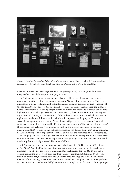

*Figure 4. Archive: The Nanjing Bridge-themed souvenirs.* Zhuang Zi de zhengjing ji/The Ataraxic of Zhuang Zi *by Qiu Zhijie, Shanghai Zendai Museum of Modern Art. (Photo by Qiu Zhijie)*

dynamic interplay between *yang* (positivity) and *yin* (negativity)—although, I admit, what's opaque/*yin* to me might be quite lucid/*yang* to others.

In Archive, we encounter a stupendous collection of historical documents and objects excavated from the past four decades, ever since the Nanjing Bridge's opening in 1968. These miscellaneous items—all imprinted with information, insignias, icons, or stylized renditions of the Nanjing Bridge—attest to the power and prevalence of the propaganda machine in Mao's China. Historically, the Nanjing Yangzi River Bridge was "the first double-decker, double-track highway and railway bridge designed and constructed by the Chinese without outside engineering assistance" (2008g). At the beginning of the bridge's construction, China had weathered a diplomatic breakup with Russia, which withdrew its experts from the project. Thus, the successful completion of the Nanjing Yangzi River Bridge emerged as an icon of "national resilience," a symbolism reinforced by Chairman Mao's inscription "Duli zizhu; zili gengsheng" (Independent Self-reliance; Autonomous Revival) on the bridge's entrance gate upon its inauguration (2008g). Such mytho-political significance has dented the nation's visual consciousness, meanwhile proliferating itself in countless documents and memorabilia. As Qiu sums up, "The Nanjing Yangzi River Bridge occupies an important emblematic position in China's visual culture. Its image is endowed with a triple symbolism, joining nationalism with revolution and modernity. It's practically a second Tiananmen" (2008c).

Qiu's statement finds incontrovertible material evidence in a 30 December 1968 edition of *Ren Min Ri Bao* (the People's Daily Newspaper), whose front page carries three celebrated messages: The title portion features Chairman Mao's calligraphy for *Ren Min Ri Bao* and a column containing a paragraph from the (then) Chinese communist bible, *Mao Yu Lu* (commonly translated as Quotations from the Chairman Mao Zedong); the top half applauds the opening of the Nanjing Yangzi River Bridge as a miraculous triumph of the "Mao-led proletarian revolution"; and the bottom half gloats over the country's successful testing of the hydrogen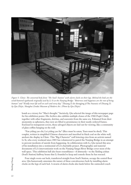

*Figure 5. Clinic: The converted beds from "The Soul's Station" with alarm clocks on their legs. Behind the beds are the wind-battered signboards originally used by Li Si at the Nanjing Bridge: "Bitterness and happiness are the root of being human" and "Kindly treat life well on each and every day."* Zhuang Zi de zhengjing ji/The Ataraxic of Zhuang Zi *by Qiu Zhijie, Shanghai Zendai Museum of Modern Art. (Photo by Qiu Zhijie)*

bomb as a victory for "Mao's thought." Incisively, Qiu selected the image of this newspaper page for his exhibition poster. His Archive also exhibits multiple clones of the 1968 *People's Daily*, together with other fragments, detritus, and souvenirs from the same era. Exhumed from their anonymity as ephemera, they now are lifted to prominence in their neatly ordered frames. Enclosed in transparent covers, these salvaged objects are laid out for viewing, like a community of glass coffins hanging on the wall.

"Fan yiding yao chi; Lei yiding yao liu" (Rice must be eaten; Tears must be shed). This couplet, written in simplified Chinese characters and inscribed in black coal on the white wall, anchors the display in Clinic. This "Big-Character" wall lettering cites from an activist named Li Si, who every weekend since 2003 has volunteered to patrol the Nanjing Bridge in an attempt to prevent incidents of suicide from happening. In collaboration with Li, Qiu turned this area of his installation into a testimonial of Li's charitable project. Photographic and material documents of Li's interventionist work on the Nanjing Yangzi River Bridge cover most of the wall space. This exhibition hall also bears resemblance—if abstractly—to the Xinling yizhan (Soul's Station) halfway house that Li founded to keep and console those he has rescued.

Four single worn-out beds, transferred straight from Soul's Station, occupy the central floor area. Qiu humorously annotates the nature of these convalescence beds by installing alarm clocks on the legs of each bed. A swarm of alarm clocks also lands below the outmoded couch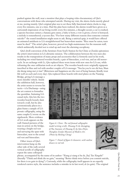pushed against the wall, near a monitor that plays a looping video documentary of Qiu's conversations with those who attempted suicide. During my visit, the alarm clocks merely glared at me, jeering mutely. Qiu's original plan was to set these fully functional alarm clocks to ring every five minutes, one at a time. Had the plan been realized, the alarms would have given us a cartoonish impression of our living world: every five minutes, a thought occurs; a car is crashed; a species becomes extinct; a banana gets eaten; a baby is born; a vow is given; a lover is betrayed; a melody is remembered; a tycoon dies. "For how many different reasons does someone commit suicide?" the sound installation might seem to ask. Being a satirical quip, it would have offered an animated antithesis to Li's straightforward but benevolent maxim: "Rice must be eaten; tears must be shed." The artist's plan, however, proved too high-maintenance for the museum staff, which unilaterally decided not to wind up and reset the alarming cacophony.

Qiu's droll conversion of the furniture from Soul's Station for his Clinic at Zendai epitomizes the artist's intervention in Li's altruistic mission. The collaboration between the two men also results in the transposition of many props and accessories that Li formerly used in his work, including two wind-battered wooden boards, a pair of binoculars, a red vest, and an old motorcycle. In an exchange with Li, Qiu replaced these worn items with new ones for Li's use, while reframing the once utilitarian tools as art objects. The wooden boards were originally signposts inscribed in blue and red with another couplet of Li's message: "You ku you le ren zhi ben; Shan dai sheng ming mei yi tian" (Bitterness and happiness are the root of being human; Kindly treat life well on each and every day). Qiu replaced these boards with steel plates on the Nanjing

Bridge, giving Li's message a more durable vehicle. Inside the exhibition hall, however, the artist seems to reverse his tactic—à la Duchamp—using the art context to formalize the quotidian. Imitating Li's casual style, Qiu lets the two wooden boards loosely slant toward a wall, but he also ceremoniously places in a glass frame a sample of Li's prosaic calligraphy, using the same couplet Li wrote on the signboards. More evidence of Li's work appears on the wall: framed pictures of the man in action on the bridge, wearing a bright red vest and surveying the span with binoculars, next to the actual red vest and binoculars.

Other traces of Qiu's intervention hang on the other side of the wall; several vertical scrolls of calligraphy repeat the same colloquial



*Figure 6. Clinic: The red-framed calligraphic model writing scrolls.* Zhuang Zi de zhengjing ji/The Ataraxic of Zhuang Zi *by Qiu Zhijie, Shanghai Zendai Museum of Modern Art. (Photo by Meiling Cheng)*

*Figure 7. Detail of figure 6 character, with outline drawn in red ink.* 



phrase, accompanied by the name of its author: "Xiang yi xiang si bu de, [by] Tao Xingzhi" (literally "Think and think die no gain," meaning "Better think twice before you commit suicide, for there is no gain in dying"). Curiously, while the calligraphy itself appears in an expertly rendered cursive style, the sentence includes a mistake in its last word, *de* (to gain). The original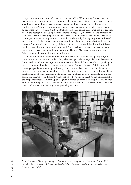component on the left side should have been the *ren* radical (彳), denoting "human," rather than *shuei,* which consists of three slanting lines denoting "water." When I look closer, I notice a red frame surrounding each calligraphic character and realize that Qiu has devised a calligraphic exercise. Qiu first chose a phrase—xiang yi xiang si bu de—written by Tao, a suicideby-drowning survivor Qiu met in Soul's Station. Tao's close escape from water had inspired him to coin the neologism "de" using the water radical. Intrigued, Qiu inscribed Tao's phrase in his own cursive writing, a calligraphic style Qiu specializes in. The artist then applied a particular printing technique to mass-produce a calligraphic model scroll, showing only a red outline of each character. He distributed these printed exercise scrolls among those who found a second chance at Soul's Station and encouraged them to fill in the blanks with brush and ink, following the calligraphic model outlines he provided. Art as healing, a concept practiced by many performance artists—including Beuys, Lacy, Anna Halprin, Marina Abramovic, and Ron Athey—finds a Chinese application in Qiu's work.

The red calligraphic frames emptied of their ink contents symbolize the quality of Qiu's presence in Clinic, in contrast to that of Li, whose images, belongings, and charitable avocation dominate this exhibition hall. Qiu is present mostly as a behind-the-scenes observer, making his involvement as unobtrusive as possible. A major part of Qiu's mediation in Clinic assumes the neutral perspective of a sociological investigation: Qiu and his student team distributed questionnaires regarding suicide to pedestrians they then interviewed on the Nanjing Bridge. These questionnaires, filled in with hand-written responses, are lined up on a wall, displayed like the documents in Archive. In this light, Qiu's relation to Li resembles that between a photographer and his portrait model. A blown-up photograph mounted on another wall captures this relationship: the photograph features Li flanked by his volunteer team in the doorway to Soul's Station, posing—all smiles—for Qiu's signature spectral group shot.



Figure 8. Archive: The ink-producing machine with the revolving ink sticks in motion. Zhuang Zi de zhengjing ji/The Ataraxic of Zhuang Zi *by Qiu Zhijie, Shanghai Zendai Museum of Modern Art. (Photo by Qiu Zhijie)*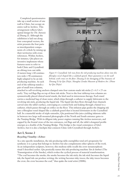Completed questionnaires take up a small section of one wall in Clinic, but occupy an entire wall in Archive. This arrangement reflects Qiu's spatial design for *The Ataraxic of Zhuang Zi*. Although the exhibition is laid out along four conceptual vectors, the artist presents the four parts as interdependent components of a whole by mixing up their territories with crossreferences. Within Archive, for instance, Qiu places an inventive implement whose features seem to refer to both Clinic and Crystalloid: an oblong iron cast table (4 meters long  $\times$  60 centimeters wide  $\times$  90 centimeters high) adapted to be an inkproducing machine. At each end of the tabletop stands a pair of small iron columns,



*Figure 9. Crystalloid: Ink runs from the ink-producing machine above into this fiberglass vessel shaped like a calabash gourd. Mao's quotation is on the wall behind, with crows on the floor.* Zhuang Zi de zhengjing ji/The Ataraxic of Zhuang Zi *by Qiu Zhijie, Shanghai Zendai Museum of Modern Art. (Photo by Qiu Zhijie)*

attached to self-revolving anchors clamped onto four custom-made ink sticks ( $2 \times 6.5 \times 25$  cm each). Tiny red flags flap on top of these ink sticks. Next to the four tabletop iron columns are symmetrically placed clinical metal stands, the kind used in intravenous therapy. Each stand carries a medicinal bag of clean water, which drips through a catheter to supply lubricants to the revolving ink stick, producing the liquid ink. The liquid ink then flows through four channels carved onto the table's surface, converging at a central hole and leaking through a funnel to a catheter, which passes through an orifice on the floor. This infusion pipe guides the dripping ink into a fiberglass vessel shaped like a calabash gourd that is located downstairs in the Crystalloid hall. In a masterful stroke of triple-entendre, Qiu positioned this juice-yielding inkstone table in between two large wall-mounted photographs of the North and South entrance gates to the Nanjing Bridge. With its diligent inky power engines running like tireless motorcars, and capped by the frontal views of the two entrances, red flags and all, the table's elongated profile emerges as a double of the Nanjing Bridge. This bridge is the visual centerpiece of Qiu's Archive, but it is also a linchpin that connects Clinic with Crystalloid through Archive.

### **Act I, Scene 2**

#### *Recycling Visuality—Echoes*

As a site-specific installation, the ink-producing table exemplifies total art's propensity for synthesis: it is a prop that belongs to Archive but also complements other spheres of the work. As an independent sculpture, however, this studious table recalls the crow metamorphosis ritual I described earlier. Qiu poetically names this ink-producing machine *Yan de lunhuei* (The Transmigration of the Smoke), which evokes the cyclical process of material transformation. "The coal becomes the smoke; the smoke becomes the ink stick; the ink stick becomes the liquid ink; the liquid ink can produce writing; the writing becomes inky traces; the inky traces becomes the crow; the crow becomes the coal," thus spake the total artist (2008b).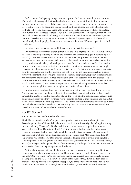Let's translate Qiu's poetry into performative prose: Coal, when burned, produces smoke. The smoke, when congealed with oil and adhesives, turns into an ink stick. If we understand the being of an ink stick as a solid mass of mineral and chemical substances, then a way for it to travel in the world is by becoming liquid. Once liquid, the ink may join with a brush pen to facilitate calligraphy, hence acquiring a thousand faces while becoming gradually dissipated. Like human faces, the faces of these calligraphies will eventually become ashes, which will join the earth to become its dark offspring, coal. The crow is then the miracle in this cycle, ascending from the ashes and soaring up to draw an arc, before disappearing as coal. The smoke, the ink stick, the calligraphy, the crow, and the coal are therefore different stages of a cyclical continuum.

But what about the hands that mold the crow, and the feet that smash it?

Qiu remarked in our email exchange that there are "two engines" in *The Ataraxic of Zhuang Zi*: "One is the ink-producing machine; the other the two workers engaged in remolding the crows" (2008f). We may consider an engine—as the force that propels movement—either extrinsic or intrinsic to the cycles of change. As a force with intention, the worker shapes the crows, retrieves their ashes, and re-shapes the crows. In this scenario, the worker is a stand-in for the creator, supposedly extrinsic to the creation if intrinsic to its continuation. We might conceptualize this creator/engine figure as "artist" or "god," a being who hovers over and exists prior to the creation. In another scenario, the self-revolving ink-producing machine exerts a force without intention; obeying the rules of mechanical propulsion, it appears neither intrinsic nor extrinsic to the ink stick. In fact, the ink stick cannot be detached from the process of its own transformation. Perhaps we may call the mechanism that both enables and is part of the ink stick's transformation "time." Here metaphysics is intertwined with physics: the symbolism remains loose enough for viewers to imagine their preferred narratives.

I prefer to imagine this tale of two engines as a parable for visuality, a koan for my retinae. A vision gets recycled from here to there to there and back again. I follow the trails of visuality through the air, the water, the metal, the plastic, the wood, and the coal-laden ground; my eyes drink with curiosity and thirst for more recycled sights, shifting as they shimmer and molt. But why? Toward what end do my pupils dilate? The answer to what transmutes my vision as it drifts through elements and ultimately to what drives my desire to see the phenomenal world, are buried in the cave, hidden inside the heart of a crow.

#### **Act III, Scene 2**

#### *A Crow in the Coal and a Coal in the Crow*

Much like an ink stick, a pile of ash, or transmigrating smoke, a crow is a being in time. According to ancient Chinese folk beliefs, the crow is an auspicious sign foretelling impending fortune and glory (*Baidu Baike* 2008a). While the crow as a symbol acquired some sinister aspects after the Tang Dynasty (618–907 AD), the extensive body of Confucian literature continues to revere the bird as a filial animal that cares for its aging parents. Considering that the Confucian tradition has made an aggressive comeback in post-Mao China (Liu 2003:164– 90), we may reasonably regard the crow as an idealized figure, even a mythic alter ego, for a Chinese person. This indigenous dimension is present yet restrained in *The Ataraxic of Zhuang Zi*, as Qiu engages in the open dialectic of simultaneously alluding to distinctive Chinese sources and stressing their non-region-specific multivalence.

An installation piece in Crystalloid encapsulates such noncommittal ambiguity. Bodies of taxidermed crows lie scattered on the ground below five coal-inscribed Chinese characters on the wall: "Zhi yao you le ren" (when there is a person), an excerpt from the remarks by Mao Zedong cited on the 30 December 1968 edition of the *People's Daily*. Even the font used for the wall lettering imitates the original newspaper. Qiu uses a "neither-nor" tactic for his wall installation: by imitating his source, he neither forsakes it, nor does he repeat the original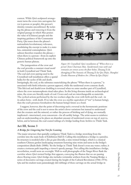context. While Qiu's sculptural arrangement turns the crows into surrogates for *ren* (a person or people), this person's identity remains unconfirmed. By isolating the phrase and removing it from the original passage in which Mao praises the value of (Chinese) people and the inspiring guidance of the Communist Party, Qiu tones down the phrase's nationalistic/revolutionary relevance, modulating the excerpt to make it a stateless, existential contemplation. Qiu's subtext therefore transfers the phrase when there is a person—from its explicit Chinese political framework up onto the generic human plateau.

The juxtaposition of the crow and the coal provides a constant visual motif in both Crystalloid and Think Tank. The coal and crow pairing used in the Crystalloid wall installation offers a spatial haiku for the cycles of life and death.



*Figure 10. Crystalloid: Qiu's installation of "When there is a person" from Chairman Mao. Taxidermied crows with coal remnants are strewn across the floor below.* Zhuang Zi de zhengjing ji/The Ataraxic of Zhuang Zi *by Qiu Zhijie, Shanghai Zendai Museum of Modern Art. (Photo by Qiu Zhijie)*

Intriguingly, the coal, as the substance materializing the phrase "When there is a person," is associated with birth (wherein a person appears), while the taxidermal crows connote death. This life/coal and death/crow doubling is reversed when we enter another part of Crystalloid, where the crow metamorphosis ritual takes place. In this living diorama inside an archaeological mine, the crows are literally made of coal. Crows and coal are interchangeable as materials. The cyclical actions performed by the two workers align the crow with birth and the coal—in its ashen form—with death. If we take the crow as a mythic equivalent of "ren" (a human being), then the coal's presence foreshadows the human being's future as a fossil.

I suggest, however, that the point of discerning such a reversal in the hermeneutic positions of the crow and the coal is not to stress the artist's clever variations but instead to understand that the creature and the mineral, or rather the process of birthing and of dying, are mutually implicated—intertwined, even concurrent—for all earthly beings. The artist seems to reinforce such an understanding as he places an abundant amount of taxidermed crows on top of, next to, below, and in between the coal-coated railings of a bridge leading from Archive to Think Tank.

## **Act III, Scene 3**

#### *A Bridge for Lingering but Not for Leaning*

The major structure that spatially configures Think Tank is a bridge stretching from the corridor into the main body of Exhibition Hall D. Calling this installation a bridge is a paradox. Its structure is modeled after a *Jiu qu qiao* (literally, a nine twisted bridge), which is a classical southern Chinese garden landscaping ornament featuring nine twists and turns in the bridge's composition (*Baidu Baike* 2008b). Yet the bridge in Think Tank doesn't cross any water; rather, it creates a tortuous path impeding a viewer's speedy passage. Not calling this installation a bridge, nevertheless, would seem an oversight. Wall-to-wall photographs of the Yangzi River flank the corridor where Qiu's twisted bridge first appears, conveying the illusion that we are passing above flowing water. Qiu's bridge also includes verisimilar artifacts from the Nanjing Bridge: a series of decorative carvings created during the height of the Cultural Revolution (1966–1976). Qiu and his student team painstakingly did rubbings of these carvings on the actual bridge in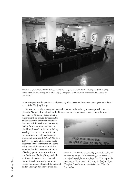

*Figure 11. Qiu's twisted bridge passage configures the space in Think Tank.* Zhuang Zi de zhengjing ji/The Ataraxic of Zhuang Zi *by Qiu Zhijie, Shanghai Zendai Museum of Modern Art. (Photo by Qiu Zhijie)*

order to reproduce the panels as coal plates. Qiu has designed his twisted passage as a displaced echo of the Nanjing Bridge.

Qiu's twisted bridge-passage offers an alternative to the value systems responsible for the place the Nanjing Bridge holds in the Chinese national imaginary. Through his voluminous

interviews with suicide survivors and family members of suicide victims, the artist discovered that most people are drawn to kill themselves at the Nanjing Bridge for rather mundane reasons: jilted love, loss of employment, failing a college entrance exam, insufficient money, domestic violence, bankrupt credit, and poor health (Qiu 2008c, also 2008e)—arguably all situations made desperate by the withdrawal of a social safety net and the dissolution of the extended familial structure in China's effectively post-communist reform era. Did those Nanjing Bridge suicide victims seek to erase their personal humiliations by drowning in a waterlogged monument of (erstwhile) national pride? Through its pensive twists and



*Figure 12. The blood note found by Qiu on the railing of the Nanjing Bridge: "When love disappears like smoke, the only thing left for me is to forget love."* Zhuang Zi de zhengjing ji/The Ataraxic of Zhuang Zi *by Qiu Zhijie, Shanghai Zendai Museum of Modern Art. (Photo by Qiu Zhijie)*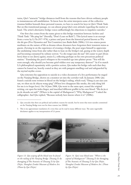turns, Qiu's "ataractic" bridge distances itself from the reasons that have driven ordinary people to instantaneous self-annihilation. To know how the artist interprets some of the collective traumas hidden beneath these personal reasons, we have to search for keys in Qiu's Think Tank. But on this transitional passage, we can almost grasp Qiu's own attitude regarding the matter at hand. The artist's alternative bridge voices unflinchingly his objections to impulsive suicides.<sup>2</sup>

Our first clue comes from the name given to this bridge transition between Archive and Think Tank: "Mo ping lan" (literally, "Don't Lean on Rails"). This lyrical name is an excerpt from a verse by Li Yu (937–978), a prince and poet from the historical period known as Wu dai shi guo (Five Dynasties and Ten Countries) (see *Baidu Baike* 2008c). Li's two-stanza poem meditates on the nature of life as dreams whose dreamers have forgotten their transient status as guests. Zeroing in on the experience of crossing a bridge, the poet urges himself to appreciate the undulating vistas from afar rather than to lean on the bridge's rail, gazing at the watery depth and becoming consumed by solitary sorrow. "Li shi rongyi jian shi nan" (It's easier to part [from here] than to see [here] again), muses Li, reflecting perhaps on his own precarious political station.3 Translating the poet's whispers to his wounded ego into plainer prose: "You will die soon enough, why should you become grief-ridden over any temporary distress?" As if to match Li's philosophical equanimity with a positive action, Qiu makes his bridge rails such that they cannot be leaned on, heavily coated as they are with pungent-smelling coal and safeguarded by the myriad mythic crows.

Qiu reiterates his opposition to suicide in a video document of a live performance he staged on the Nanjing Bridge, shown on a monitor set into the corridor wall. In January 2008, Qiu found a suicide note written in blood on the bridge's railing, which read, "Dang ai yan xiao yun san, wo shen xia de zhiyou wang qing" (When love disappears like smoke, the only thing left for me is to forget love). On 14 June 2008, Qiu went to the same spot, erased the original writing, cut open his index finger, and inscribed different graffiti in his own blood: "Ma da jia si jia de shoudu zai nali?" (Where is the capital of Madagascar?) "Why Madagascar?" I asked the calligrapher. And Qiu replied, "Because nobody here knows where it is" (2008c).

3. This is my approximate translation of a verse that can be read in many different ways. The same regrettable disclaimer applies to my interpretation of Li's poem.



*Figure 13. Qiu wiping off the blood note he found on the railing of the Nanjing Bridge.* Zhuang Zi de zhengjing ji/The Ataraxic of Zhuang Zi *by Qiu Zhijie, Shanghai Zendai Museum of Modern Art. (Photo by Qui Zhijie)* 



*Figure 14. Qiu's new blood note: "Where is the capital of Madagascar?"* Zhuang Zi de zhengjing ji/The Ataraxic of Zhuang Zi *by Qiu Zhijie, Shanghai Zendai Museum of Modern Art. (Photo by Qiu Zhijie)*

<sup>2.</sup> Qiu concedes that there are political and aesthetic reasons for suicide, but he notes that most suicides committed on the Nanjing Bridge were not for these reasons (see 2008d).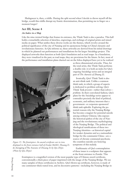Madagascar is, then, a riddle. During the split second when I decide to throw myself off the bridge, would this riddle disrupt my frantic determination, thus permitting me to linger on a moment longer?

## **Act III, Scene 4**

#### *An Index in a Map*

Like the nine-twisted bridge that frames its entrance, the Think Tank is also a paradox. This hall holds a remarkable selection of sketches, engravings, and etchings of original prints and mixed media on paper. What unifies these diverse works are the themes, which revolve around the political significance of the city of Nanjing and its eponymous bridge in China's dynastic and revolutionary histories. As Qiu informs us, these artworks are derived from his initial drawings in which he planned out performances and installations for his larger *Suicidology* project. The displayed artworks then function as both Qiu's foundation and as road maps: As a foundation, they were visualized in the past; as road maps, they are provisions for the future. In fact, most of the performance and installation plans charted out on the folios displayed have yet to be realized



*Figure 15. The frontispiece: An award certificate cast in iron, displayed in the front entrance hall of Zendai MoMA.* Zhuang Zi de zhengjing ji/The Ataraxic of Zhuang Zi *by Qiu Zhijie. (Photo by Qiu Zhijie)*

as three-dimensional artworks. Thus, for the total artist, this Think Tank performs a double role: it is both an index for Qiu's ongoing *Suicidology* series and an integral part of *The Ataraxic of Zhuang Zi*.

Ironically, Qiu's Think Tank is also an anti-think tank. Unlike a common think tank, in which a group of experts is dedicated to problem solving, Qiu's Think Tank *presents*—rather than solves *problems*. In their convoluted fashion, Qiu's plans for the *Suicidology* series appear to contradict precisely the kind of political, economic, and military interests that a government- or corporate-sponsored think tank upholds. Exploring the potential reasons why the Nanjing Bridge has become a magnet for potential suicide among ordinary Chinese, Qiu exposes the historical pathos of the city of Nanjing and the revolutionary mythologizing of the Nanjing Bridge. The political and ideological ramifications of these two Nanjing identities—as historical capital for weaker dynasties and as a nationalistic bridge for the communist China—are a source of chronic communal psychosis; the countless suicides are festering symptoms of this malady.

Emblematic of Qiu's contemplation of these issues is a sculpture that appears at the front entrance to Zendai. This

frontispiece is a magnified version of the most popular type of Chinese award certificate, conventionally a thick piece of paper imprinted with the image of the Nanjing Bridge. We see many samples of these certificates in Archive. Qiu's blown-up certificate, however, is made of one centimeter-thick rusted iron, and its decorative patterns—including the Nanjing Bridge in

Meiling Cheng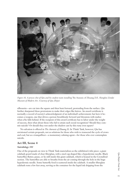

*Figure 16. A process shot of Qiu and his student team installing* The Ataraxic of Zhuang Zi/I*, Shanghai Zendai Museum of Modern Art. (Courtesy of Qiu Zhijie)* 

silhouette—are cut into the square and then bent forward, protruding from the surface. Qiu further sharpened these protrusions to make their edges like knives. An award certificate is normally a record of society's acknowledgment of an individual's achievement; but here it becomes a weapon, one that drives a person breathlessly forward and threatens with malice when s/he falls behind. If the recipient of this award certificate has to labor under the weight of success, then what about those who fail to attain such social recognition? Should they commit suicide? Or should they rest under the shadow cast by this rusty iron square?

No salvation is offered in *The Ataraxic of Zhuang Zi*. In Think Tank, however, Qiu has envisioned certain proposals, not as solutions for those who wish to transcend the cycle of crows and coal, but as a tranquillizer—a momentary calming agent—for those who ever contemplate suicide.

## **Act III, Scene 4**

#### *Suicidology 101*

One of the proposals on view in Think Tank materializes as the exhibition's title piece: a giant calabash gourd made of clear fiberglass, with a steel cap shaped like a hypodermic needle. Black butterflies flutter, pause, or lie still inside this giant calabash, which is housed in the Crystalloid section. The butterflies are able to breathe from the air coming through the hole in the huge hypodermic needle. Some butterfly food is scattered inside the calabash. A smaller fiberglass calabash rests a few feet away, serving as the container for the liquid ink dripping from the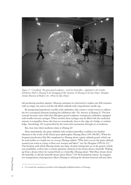

*Figure 17. Crystalloid: The giant gourd sculpture—with live butterflies—displayed in the Zendai Exhibition Hall A.* Zhuang Zi de zhengjing ji/The Ataraxic of Zhuang Zi *by Qiu Zhijie, Shanghai Zendai Museum of Modern Art. (Photo by Qiu Zhijie)*

ink-producing machine upstairs. Museum assistants are instructed to replace any full container with an empty one and to seal the ink-filled calabash with a hypodermic needle cap.

By juxtaposing hypodermic needles with calabashes, Qiu creates a visual conceit to address the two conceptual elements marking his exhibition title: *The Ataraxic of Zhuang Zi*. The first concept becomes clear with Qiu's fiberglass gourd-sculpture: transparent calabashes equipped with needles become syringes. When needed, these syringes may be filled with the medicinal ataraxic to tranquilize those who lean too tremulously close to the edge of a bridge or window ledge. Suicidology 101 as prescribed by the total artist: persuasion through art as medicine.

But, how does Qiu's medicine relate to *Zhuang Zi*?

Most immediately, the giant calabash with resident butterflies combines two familiar allusions to the works of the Daoist poet-philosopher Zhuang Zhou (369–286 BC). When his frequent interlocutor Hui Shi complained to Zhuang about a giant calabash gourd, which can be used neither as a bottle nor as a scoop, Zhuang replied, "Why don't you tie the giant calabash around your waist as a buoy to float over streams and lakes?" (see *Da Zhonghua* 1999:10–12).4 The freedom with which Zhuang eludes any fixity of mind, letting him see in the gourd a whole new possibility, evolves into a certain epistemic elasticity in his dream about a butterfly. Waking up from a dream where he roamed freely as a butterfly, Zhuang asked, "Did Zhou dream about the butterfly, or did the butterfly dream about Zhou?" (38–40 [translation mine]). An imaginative transposition of perspectives allows Zhuang to sidestep the division between self and other

Meiling Cheng 32Meiling Cheng

<sup>4.</sup> I've revised the translation provided in this bilingually published edition of *Zhuangzi*.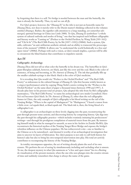by forgetting that there is a self. No bridge is needed between the man and the butterfly; the man is already the butterfly. Thus, *try* and we can all *fly*.

For Qiu's project, however, the "Zhuang Zi" in the title is not just an honorific name for Zhuang Zhou, nor does it merely refer to the Daoist master's thinking collected in the volumes entitled *Zhuangzi*. Rather, the signifier calls attention to a long-standing, yet somewhat submerged, spiritual heritage in China (see Little 2000). To Qiu, Zhuang Zi symbolizes "a whole system of cultural outlooks and modes of living," one that has inspired such brilliant calligraphic and literary works as "Lanting xu" (Preface to the Orchid Pavilion; by Wang Xizhi [303–361]) and "Chi bi fu" (The Red Cliffs Poetry; by Su Shi [1037–1101]) (2008d). Such a system, Qiu adds, cultivates "an anti-utilitarian aesthetic attitude and an ability to transcend the preoccupations of the moment" (2008d). It allows one "to understand the world holistically in a free and open vision" (2008d). Perhaps with such a vision, as Qiu's remark implies, a person will be able to circumvent the blind fixation that contributes to impulsive suicide.

#### **Act IV**

#### *Calligraphic Archaeology*

Zhuang Zhou did not tell us what color the butterfly in his dream was. The butterflies in Qiu's giant fiberglass calabash, however, are black, just like the crow and the coal. Black is the color of existence, of being and becoming, in *The Ataraxic of Zhuang Zi.* The ink that gradually fills up the smaller calabash-syringe is also black: black is the color of Qiu's medicine.

It is revealing that Qiu would cite "Preface to the Orchid Pavilion" and "The Red Cliffs Poetry" as milestones in the cultural lineage of Zhuang Zi. Qiu first became widely known as a *xingwei* (performance) artist by copying Wang Xizhi's cursive writing for the "Preface to the Orchid Pavilion" on the same sheet of paper a thousand times (between 1990 and 1997). A decade-plus later in his present total art project, Qiu adopted the title from Su Shi's calligraphic masterpiece, "The Red Cliffs Poetry," to name his archaeological cave inside Crystalloid. Here Su's red becomes Qiu's black. In *The Ataraxic of Zhuang Zi*, other than the red calligraphic frames in Clinic, the only example of Qiu's calligraphy is his blood writing on the rail of the Nanjing Bridge: "Where is the capital of Madagascar?" In "Madagascar," I heard a rumor from a little crow: *red* equals *black*, as *blood* equals *ink*. The black ink is, then, the living blood of a calligrapher's art.

A calligrapher is an archaeologist on three levels: digging into the past; reconstructing the past through present-tense actions; and discovering history by composing history. Qiu digs into the past through his calligraphic practice—which includes routinely imitating his predecessors' writings—and through his prodigious compilation of material traces from the past. By immersing himself *totally* in what he managed to unearth, as seen in his Archive in Zendai MoMA, Qiu reconstructs the historical mythos of the Nanjing Yangzi River Bridge and exposes the bridge's relentless influence on the Chinese populace. He has rediscovered a site—one so familiar to the Chinese as to be naturalized—and deemed it worthy of an archaeological investigation that aims to uncover its layers of fabrication. Yet, Qiu's purpose is not only to call forth history for history's sake but also to bring his own temporal intervention into play. His total art actively contributes to recomposing the history of the Nanjing Bridge.

As totality encompasses opposites, the act of writing already plants the seed of its own erasure. We perform the act of seeing by simultaneously including and excluding what is unseen. To me, the deepest mystery in what Qiu summons as "a free and open vision" lies in a fleeting de-visualization of the present moment, when the one who sees plunges into the creative stream of time and suddenly remembers that *change* is always the name of the game.